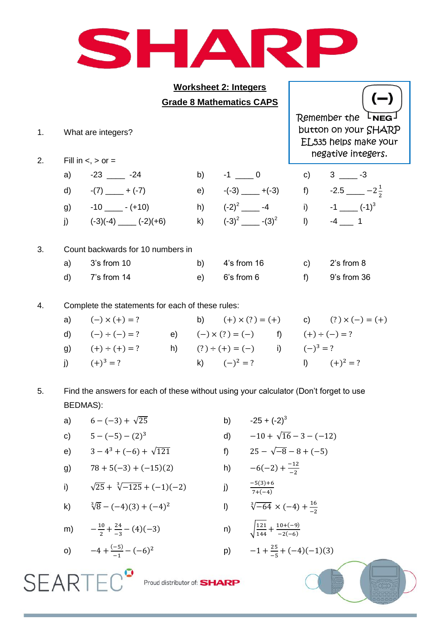

|          |    | <b>Worksheet 2: Integers</b>                     |                                                                                              |                    |              |                        |  |  |
|----------|----|--------------------------------------------------|----------------------------------------------------------------------------------------------|--------------------|--------------|------------------------|--|--|
|          |    | <b>Grade 8 Mathematics CAPS</b>                  |                                                                                              |                    |              |                        |  |  |
| 1.<br>2. |    | What are integers?<br>Fill in $\lt$ , $>$ or $=$ | Remember the<br>LNEG-<br>button on your SHARP<br>EL535 helps make your<br>negative integers. |                    |              |                        |  |  |
|          | a) | $-23$ $-24$                                      | b)                                                                                           | $-1 \_ 0$          | $\mathsf{C}$ | $3 \_3$ -3             |  |  |
|          | d) | $-(7)$ — + (-7)                                  | e)                                                                                           | $-(-3)$ $-(-3)$ f) |              | $-2.5$ $-2\frac{1}{2}$ |  |  |
|          |    | g) $-10$ $-(-10)$                                |                                                                                              | h) $(-2)^2$ $-4$   |              | i) $-1$ $(-1)^3$       |  |  |
|          | j) | $(-3)(-4)$ ______ $(-2)(+6)$                     | k)                                                                                           | $(-3)^2$ $-(-3)^2$ | $\vert$ )    | $-4$ 1                 |  |  |
| 3.       |    | Count backwards for 10 numbers in                |                                                                                              |                    |              |                        |  |  |
|          | a) | 3's from 10                                      | b)                                                                                           | $4's$ from 16      | C)           | 2's from 8             |  |  |
|          | d) | 7's from 14                                      | e)                                                                                           | 6's from 6         | $f$ )        | 9's from 36            |  |  |
|          |    |                                                  |                                                                                              |                    |              |                        |  |  |

4. Complete the statements for each of these rules:

| a) $(-) \times (+) = ?$ |  |                                                 |  | b) $(+) \times (?) = (+)$ c) $(?) \times (-) = (+)$ |
|-------------------------|--|-------------------------------------------------|--|-----------------------------------------------------|
| d) $(-) \div (-) = ?$   |  | e) $(-) \times (?) = (-)$ f) $(+) \div (-) = ?$ |  |                                                     |
| g) $(+) \div (+) = ?$   |  | h) $(?) \div (+) = (-)$ i) $(-)^3 = ?$          |  |                                                     |
| i) $(+)^3 = ?$          |  | k) $(-)^2 = ?$                                  |  | (a) $(+)^2 = ?$                                     |

5. Find the answers for each of these without using your calculator (Don't forget to use BEDMAS):

- a)  $6 (-3) + \sqrt{25}$  b)  $-25 + (-2)^3$
- c)  $5 (-5) (2)^3$ e)  $3-4^3+(-6)+\sqrt{121}$
- g)  $78 + 5(-3) + (-15)(2)$  h)
- i)  $\sqrt{25} + \sqrt[3]{-125} + (-1)(-2)$  j)

k) 
$$
\sqrt[3]{8} - (-4)(3) + (-4)^2
$$

**SEARTEC**<sup>°</sup>

m) 
$$
-\frac{10}{2} + \frac{24}{-3} - (4)(-3)
$$
 n)  $\sqrt{ }$ 

o) 
$$
-4 + \frac{(-5)}{-1} - (-6)^2
$$
 p)  $-$ 

d)  $-10 + \sqrt{16} - 3 - (-12)$ (  $25 - \sqrt{-8} - 8 + (-5)$ <sup>-</sup> <sup>-</sup>  $\frac{-5(3)+6}{7+(-4)}$ l)  $\sqrt[3]{-64} \times (-4) + \frac{1}{2}$ - $\mathbf 1$  $\frac{121}{144} + \frac{10+(-9)}{-2(-6)}$ 

$$
-1 + \frac{25}{-5} + (-4)(-1)(3)
$$

 $-2(-6)$ 

Proud distributor of: **SHARP**